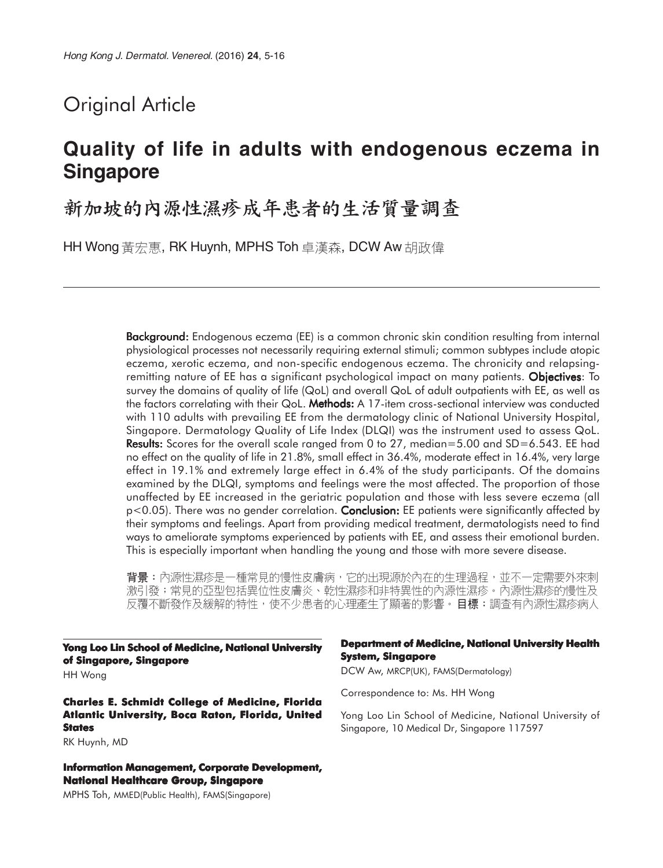# Original Article

# **Quality of life in adults with endogenous eczema in Singapore**

# 新加坡的內源性濕疹成年患者的生活質量調查

HH Wong 黃宏惠, RK Huynh, MPHS Toh 卓漢森, DCW Aw 胡政偉

**Background:** Endogenous eczema (EE) is a common chronic skin condition resulting from internal physiological processes not necessarily requiring external stimuli; common subtypes include atopic eczema, xerotic eczema, and non-specific endogenous eczema. The chronicity and relapsingremitting nature of EE has a significant psychological impact on many patients. Objectives: To survey the domains of quality of life (QoL) and overall QoL of adult outpatients with EE, as well as the factors correlating with their QoL. Methods: A 17-item cross-sectional interview was conducted with 110 adults with prevailing EE from the dermatology clinic of National University Hospital, Singapore. Dermatology Quality of Life Index (DLQI) was the instrument used to assess QoL. **Results:** Scores for the overall scale ranged from 0 to 27, median=5.00 and SD=6.543. EE had no effect on the quality of life in 21.8%, small effect in 36.4%, moderate effect in 16.4%, very large effect in 19.1% and extremely large effect in 6.4% of the study participants. Of the domains examined by the DLQI, symptoms and feelings were the most affected. The proportion of those unaffected by EE increased in the geriatric population and those with less severe eczema (all  $p<0.05$ ). There was no gender correlation. **Conclusion:** EE patients were significantly affected by their symptoms and feelings. Apart from providing medical treatment, dermatologists need to find ways to ameliorate symptoms experienced by patients with EE, and assess their emotional burden. This is especially important when handling the young and those with more severe disease.

背景:內源性濕疹是一種常見的慢性皮膚病,它的出現源於內在的生理過程,並不一定需要外來刺 激引發;常見的亞型包括異位性皮膚炎、乾性濕疹和非特異性的內源性濕疹。內源性濕疹的慢性及 反覆不斷發作及緩解的特性,使不少患者的心理產生了顯著的影響。目標:調查有內源性濕疹病人

**Yong Loo Lin School of Medicine, National University of Singapore, Singapore** HH Wong

**Charles E. Schmidt College of Medicine, Florida Atlantic University, Boca Raton, Florida, United States**

RK Huynh, MD

**Information Management, Corporate Development, National Healthcare Group, Singapore**

MPHS Toh, MMED(Public Health), FAMS(Singapore)

#### **Department of Medicine, National University Health System, Singapore**

DCW Aw, MRCP(UK), FAMS(Dermatology)

Correspondence to: Ms. HH Wong

Yong Loo Lin School of Medicine, National University of Singapore, 10 Medical Dr, Singapore 117597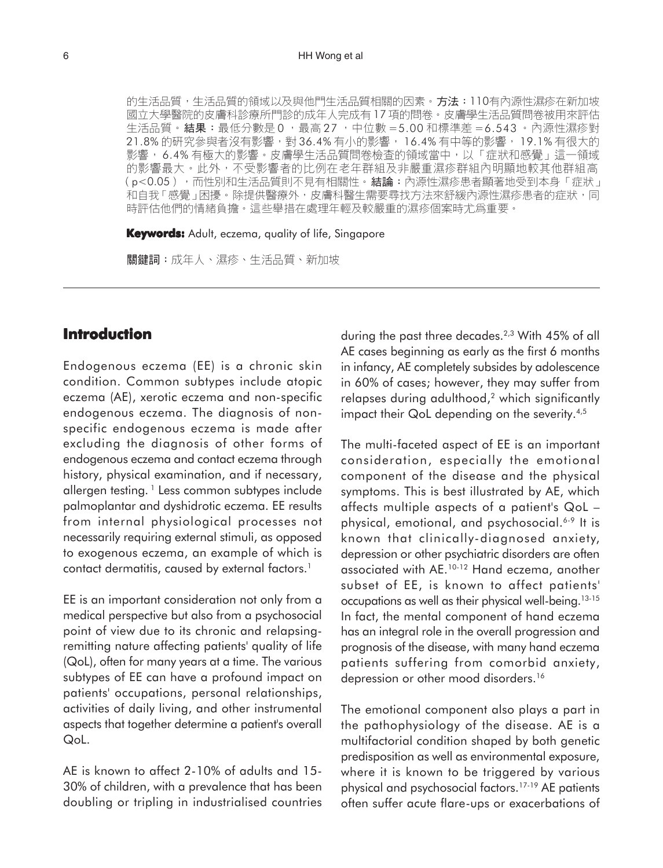#### 6 HH Wong et al

的生活品質,生活品質的領域以及與他門生活品質相關的因素。方法:110有內源性濕疹在新加坡 國立大學醫院的皮膚科診療所門診的成年人完成有17項的問卷。皮膚學生活品質問卷被用來評估 生活品質。結果:最低分數是 0 ,最高 27 ,中位數 = 5.00 和標準差 = 6.543 。內源性濕疹對 21.8% 的研究參與者沒有影響,對36.4% 有小的影響, 16.4% 有中等的影響, 19.1% 有很大的 影響, 6.4%有極大的影響。皮膚學生活品質問卷檢查的領域當中,以「症狀和感覺」這一領域 的影響最大。此外,不受影響者的比例在老年群組及非嚴重濕疹群組內明顯地較其他群組高 (p<0.05),而性別和生活品質則不見有相關性。結論:內源性濕疹患者顯著地受到本身「症狀」 和自我「感覺」困擾。除提供醫療外,皮膚科醫生需要尋找方法來舒緩內源性濕疹患者的症狀,同 時評估他們的情緒負擔。這些舉措在處理年輕及較嚴重的濕疹個案時尤爲重要。

**Keywords:** Adult, eczema, quality of life, Singapore

關鍵詞:成年人、濕疹、生活品質、新加坡

# **Introduction**

Endogenous eczema (EE) is a chronic skin condition. Common subtypes include atopic eczema (AE), xerotic eczema and non-specific endogenous eczema. The diagnosis of nonspecific endogenous eczema is made after excluding the diagnosis of other forms of endogenous eczema and contact eczema through history, physical examination, and if necessary, allergen testing. 1 Less common subtypes include palmoplantar and dyshidrotic eczema. EE results from internal physiological processes not necessarily requiring external stimuli, as opposed to exogenous eczema, an example of which is contact dermatitis, caused by external factors.<sup>1</sup>

EE is an important consideration not only from a medical perspective but also from a psychosocial point of view due to its chronic and relapsingremitting nature affecting patients' quality of life (QoL), often for many years at a time. The various subtypes of EE can have a profound impact on patients' occupations, personal relationships, activities of daily living, and other instrumental aspects that together determine a patient's overall QoL.

AE is known to affect 2-10% of adults and 15- 30% of children, with a prevalence that has been doubling or tripling in industrialised countries

during the past three decades.2,3 With 45% of all AE cases beginning as early as the first 6 months in infancy, AE completely subsides by adolescence in 60% of cases; however, they may suffer from relapses during adulthood,<sup>2</sup> which significantly impact their QoL depending on the severity.<sup>4,5</sup>

The multi-faceted aspect of EE is an important consideration, especially the emotional component of the disease and the physical symptoms. This is best illustrated by AE, which affects multiple aspects of a patient's QoL – physical, emotional, and psychosocial.6-9 It is known that clinically-diagnosed anxiety, depression or other psychiatric disorders are often associated with AE.10-12 Hand eczema, another subset of EE, is known to affect patients' occupations as well as their physical well-being.13-15 In fact, the mental component of hand eczema has an integral role in the overall progression and prognosis of the disease, with many hand eczema patients suffering from comorbid anxiety, depression or other mood disorders.<sup>16</sup>

The emotional component also plays a part in the pathophysiology of the disease. AE is a multifactorial condition shaped by both genetic predisposition as well as environmental exposure, where it is known to be triggered by various physical and psychosocial factors.17-19 AE patients often suffer acute flare-ups or exacerbations of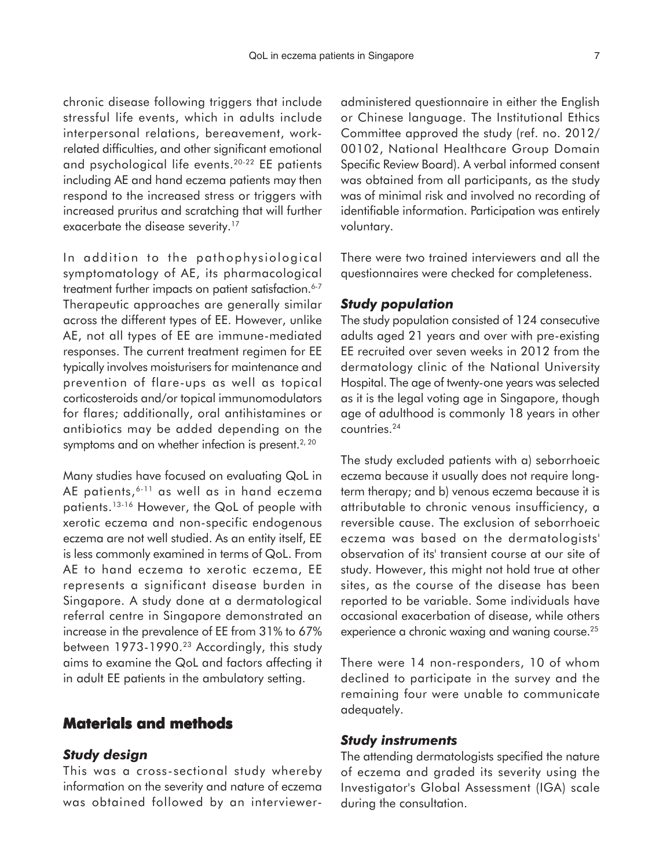chronic disease following triggers that include stressful life events, which in adults include interpersonal relations, bereavement, workrelated difficulties, and other significant emotional and psychological life events.20-22 EE patients including AE and hand eczema patients may then respond to the increased stress or triggers with increased pruritus and scratching that will further exacerbate the disease severity.<sup>17</sup>

In addition to the pathophysiological symptomatology of AE, its pharmacological treatment further impacts on patient satisfaction.<sup>6-7</sup> Therapeutic approaches are generally similar across the different types of EE. However, unlike AE, not all types of EE are immune-mediated responses. The current treatment regimen for EE typically involves moisturisers for maintenance and prevention of flare-ups as well as topical corticosteroids and/or topical immunomodulators for flares; additionally, oral antihistamines or antibiotics may be added depending on the symptoms and on whether infection is present. $2, 20$ 

Many studies have focused on evaluating QoL in AE patients, 6-11 as well as in hand eczema patients.13-16 However, the QoL of people with xerotic eczema and non-specific endogenous eczema are not well studied. As an entity itself, EE is less commonly examined in terms of QoL. From AE to hand eczema to xerotic eczema, EE represents a significant disease burden in Singapore. A study done at a dermatological referral centre in Singapore demonstrated an increase in the prevalence of EE from 31% to 67% between 1973-1990.<sup>23</sup> Accordingly, this study aims to examine the QoL and factors affecting it in adult EE patients in the ambulatory setting.

# **Materials and methods**

#### *Study design*

This was a cross-sectional study whereby information on the severity and nature of eczema was obtained followed by an intervieweradministered questionnaire in either the English or Chinese language. The Institutional Ethics Committee approved the study (ref. no. 2012/ 00102, National Healthcare Group Domain Specific Review Board). A verbal informed consent was obtained from all participants, as the study was of minimal risk and involved no recording of identifiable information. Participation was entirely voluntary.

There were two trained interviewers and all the questionnaires were checked for completeness.

#### *Study population*

The study population consisted of 124 consecutive adults aged 21 years and over with pre-existing EE recruited over seven weeks in 2012 from the dermatology clinic of the National University Hospital. The age of twenty-one years was selected as it is the legal voting age in Singapore, though age of adulthood is commonly 18 years in other countries.24

The study excluded patients with a) seborrhoeic eczema because it usually does not require longterm therapy; and b) venous eczema because it is attributable to chronic venous insufficiency, a reversible cause. The exclusion of seborrhoeic eczema was based on the dermatologists' observation of its' transient course at our site of study. However, this might not hold true at other sites, as the course of the disease has been reported to be variable. Some individuals have occasional exacerbation of disease, while others experience a chronic waxing and waning course.<sup>25</sup>

There were 14 non-responders, 10 of whom declined to participate in the survey and the remaining four were unable to communicate adequately.

#### *Study instruments*

The attending dermatologists specified the nature of eczema and graded its severity using the Investigator's Global Assessment (IGA) scale during the consultation.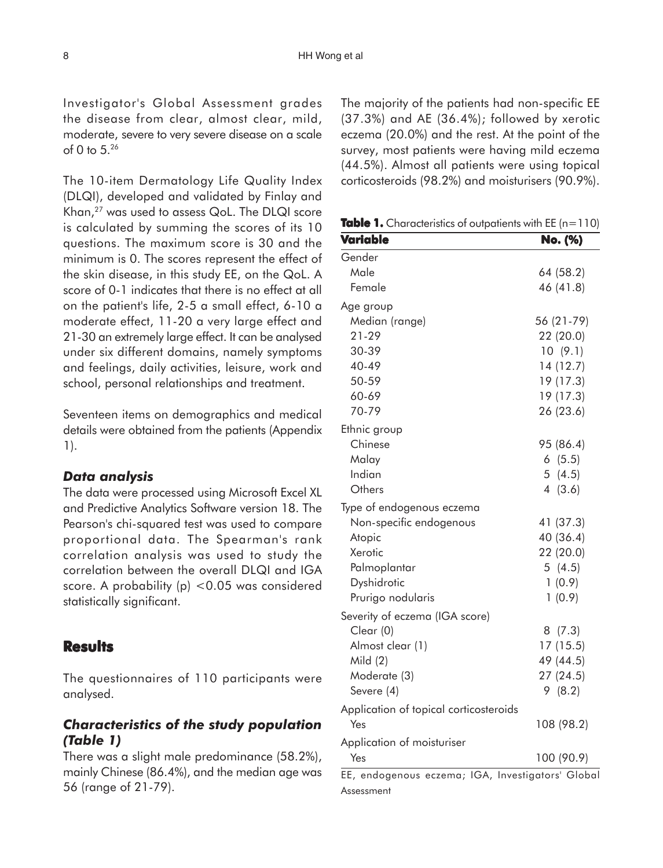Investigator's Global Assessment grades the disease from clear, almost clear, mild, moderate, severe to very severe disease on a scale of 0 to 5.26

The 10-item Dermatology Life Quality Index (DLQI), developed and validated by Finlay and Khan,27 was used to assess QoL. The DLQI score is calculated by summing the scores of its 10 questions. The maximum score is 30 and the minimum is 0. The scores represent the effect of the skin disease, in this study EE, on the QoL. A score of 0-1 indicates that there is no effect at all on the patient's life, 2-5 a small effect, 6-10 a moderate effect, 11-20 a very large effect and 21-30 an extremely large effect. It can be analysed under six different domains, namely symptoms and feelings, daily activities, leisure, work and school, personal relationships and treatment.

Seventeen items on demographics and medical details were obtained from the patients (Appendix 1).

#### *Data analysis*

The data were processed using Microsoft Excel XL and Predictive Analytics Software version 18. The Pearson's chi-squared test was used to compare proportional data. The Spearman's rank correlation analysis was used to study the correlation between the overall DLQI and IGA score. A probability (p) <0.05 was considered statistically significant.

#### **Results**

The questionnaires of 110 participants were analysed.

## *Characteristics of the study population (Table 1)*

There was a slight male predominance (58.2%), mainly Chinese (86.4%), and the median age was 56 (range of 21-79).

The majority of the patients had non-specific EE (37.3%) and AE (36.4%); followed by xerotic eczema (20.0%) and the rest. At the point of the survey, most patients were having mild eczema (44.5%). Almost all patients were using topical corticosteroids (98.2%) and moisturisers (90.9%).

**Table 1.** Characteristics of outpatients with EE ( $n=110$ )

| Variable                               | No. (%)    |
|----------------------------------------|------------|
| Gender                                 |            |
| Male                                   | 64 (58.2)  |
| Female                                 | 46 (41.8)  |
| Age group                              |            |
| Median (range)                         | 56 (21-79) |
| $21 - 29$                              | 22 (20.0)  |
| 30-39                                  | 10(9.1)    |
| 40-49                                  | 14 (12.7)  |
| 50-59                                  | 19 (17.3)  |
| 60-69                                  | 19 (17.3)  |
| 70-79                                  | 26 (23.6)  |
| Ethnic group                           |            |
| Chinese                                | 95 (86.4)  |
| Malay                                  | 6(5.5)     |
| Indian                                 | 5(4.5)     |
| Others                                 | 4(3.6)     |
| Type of endogenous eczema              |            |
| Non-specific endogenous                | 41 (37.3)  |
| Atopic                                 | 40 (36.4)  |
| Xerotic                                | 22 (20.0)  |
| Palmoplantar                           | 5(4.5)     |
| Dyshidrotic                            | 1(0.9)     |
| Prurigo nodularis                      | 1(0.9)     |
| Severity of eczema (IGA score)         |            |
| Clear (0)                              | 8(7.3)     |
| Almost clear (1)                       | 17(15.5)   |
| Mild $(2)$                             | 49 (44.5)  |
| Moderate (3)                           | 27(24.5)   |
| Severe (4)                             | 9(8.2)     |
| Application of topical corticosteroids |            |
| Yes                                    | 108 (98.2) |
| Application of moisturiser             |            |
| Yes                                    | 100 (90.9) |

EE, endogenous eczema; IGA, Investigators' Global Assessment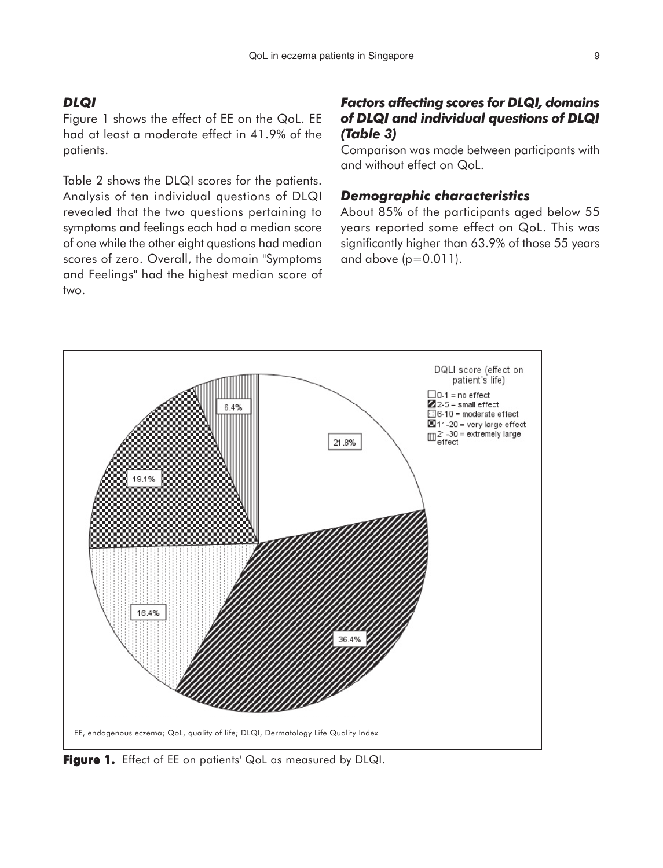## *DLQI*

Figure 1 shows the effect of EE on the QoL. EE had at least a moderate effect in 41.9% of the patients.

Table 2 shows the DLQI scores for the patients. Analysis of ten individual questions of DLQI revealed that the two questions pertaining to symptoms and feelings each had a median score of one while the other eight questions had median scores of zero. Overall, the domain "Symptoms and Feelings" had the highest median score of two.

# *Factors affecting scores for DLQI, domains of DLQI and individual questions of DLQI (Table 3)*

Comparison was made between participants with and without effect on QoL.

#### *Demographic characteristics*

About 85% of the participants aged below 55 years reported some effect on QoL. This was significantly higher than 63.9% of those 55 years and above  $(p=0.011)$ .



Figure 1. Effect of EE on patients' QoL as measured by DLQI.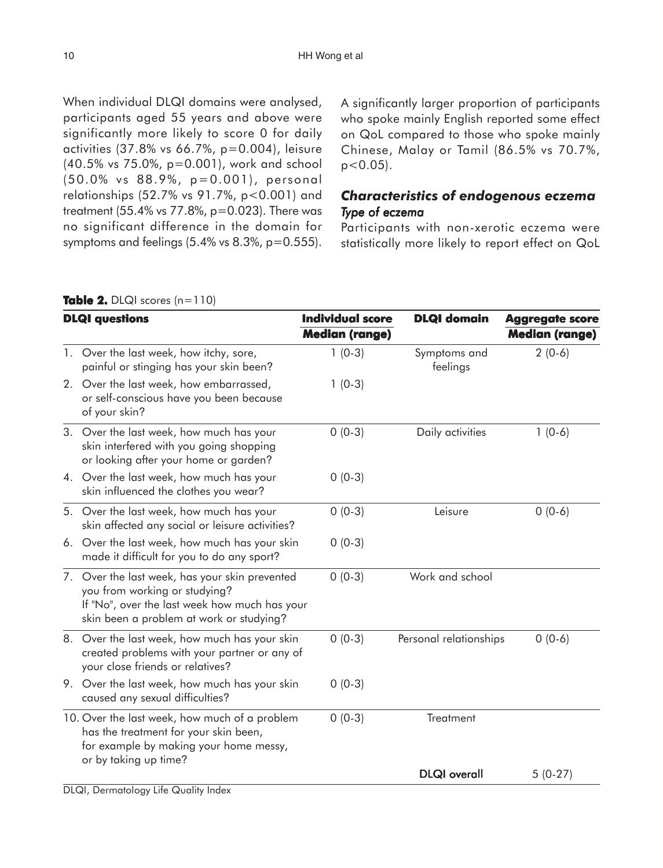| When individual DLQI domains were analysed,                  |
|--------------------------------------------------------------|
| participants aged 55 years and above were                    |
| significantly more likely to score 0 for daily               |
| activities (37.8% vs 66.7%, p=0.004), leisure                |
| (40.5% vs 75.0%, p=0.001), work and school                   |
| (50.0% vs 88.9%, p=0.001), personal                          |
| relationships (52.7% vs 91.7%, p<0.001) and                  |
| treatment (55.4% vs 77.8%, p=0.023). There was               |
| no significant difference in the domain for                  |
| symptoms and feelings $(5.4\% \text{ vs } 8.3\% , p=0.555).$ |
|                                                              |

A significantly larger proportion of participants who spoke mainly English reported some effect on QoL compared to those who spoke mainly Chinese, Malay or Tamil (86.5% vs 70.7%,  $p < 0.05$ ).

# *Characteristics of endogenous eczema Type of eczema*

Participants with non-xerotic eczema were statistically more likely to report effect on QoL

|  |  |  | Table 2. DLQI scores $(n=110)$ |
|--|--|--|--------------------------------|
|--|--|--|--------------------------------|

| <b>DLQI</b> questions |                                                                                                                                                                              | <b>Individual score</b><br><b>Median (range)</b> | <b>DLQI</b> domain       | <b>Aggregate score</b><br><b>Median (range)</b> |
|-----------------------|------------------------------------------------------------------------------------------------------------------------------------------------------------------------------|--------------------------------------------------|--------------------------|-------------------------------------------------|
|                       | 1. Over the last week, how itchy, sore,<br>painful or stinging has your skin been?                                                                                           | $1(0-3)$                                         | Symptoms and<br>feelings | $2(0-6)$                                        |
|                       | 2. Over the last week, how embarrassed,<br>or self-conscious have you been because<br>of your skin?                                                                          | $1(0-3)$                                         |                          |                                                 |
|                       | 3. Over the last week, how much has your<br>skin interfered with you going shopping<br>or looking after your home or garden?                                                 | $0(0-3)$                                         | Daily activities         | $1(0-6)$                                        |
|                       | 4. Over the last week, how much has your<br>skin influenced the clothes you wear?                                                                                            | $0(0-3)$                                         |                          |                                                 |
|                       | 5. Over the last week, how much has your<br>skin affected any social or leisure activities?                                                                                  | $0(0-3)$                                         | Leisure                  | $0(0-6)$                                        |
| 6.                    | Over the last week, how much has your skin<br>made it difficult for you to do any sport?                                                                                     | $0(0-3)$                                         |                          |                                                 |
|                       | 7. Over the last week, has your skin prevented<br>you from working or studying?<br>If "No", over the last week how much has your<br>skin been a problem at work or studying? | $0(0-3)$                                         | Work and school          |                                                 |
|                       | 8. Over the last week, how much has your skin<br>created problems with your partner or any of<br>your close friends or relatives?                                            | $0(0-3)$                                         | Personal relationships   | $0(0-6)$                                        |
| 9.                    | Over the last week, how much has your skin<br>caused any sexual difficulties?                                                                                                | $0(0-3)$                                         |                          |                                                 |
|                       | 10. Over the last week, how much of a problem<br>has the treatment for your skin been,<br>for example by making your home messy,<br>or by taking up time?                    | $0(0-3)$                                         | Treatment                |                                                 |
|                       |                                                                                                                                                                              |                                                  | <b>DLQI</b> overall      | $5(0-27)$                                       |

DLQI, Dermatology Life Quality Index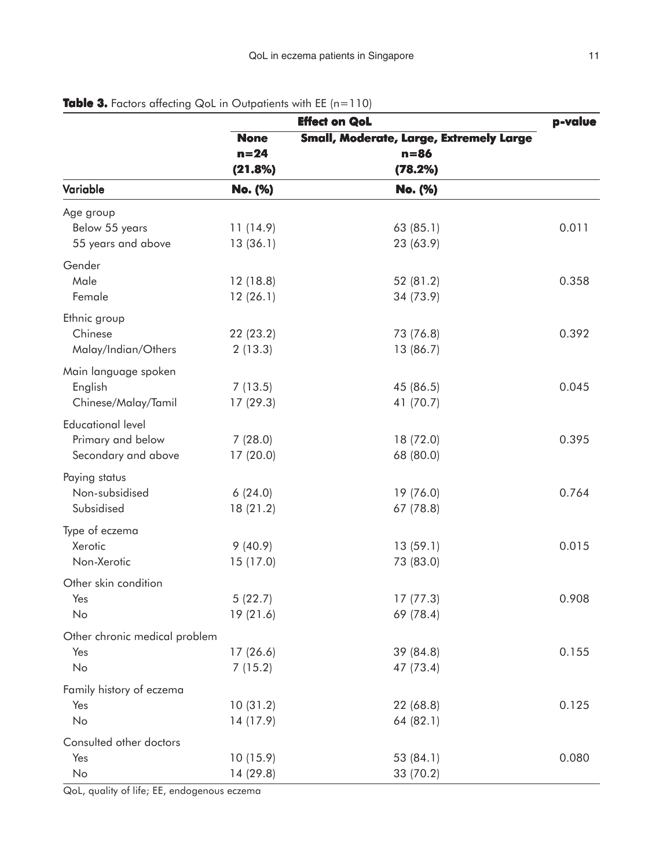|                               |                                                        | <b>Effect on QoL</b> | p-value |
|-------------------------------|--------------------------------------------------------|----------------------|---------|
|                               | Small, Moderate, Large, Extremely Large<br><b>None</b> |                      |         |
|                               | $n = 24$                                               | $n = 86$             |         |
|                               | (21.8%)                                                | (78.2%)              |         |
| Variable                      | No. (%)                                                | No. (%)              |         |
| Age group                     |                                                        |                      |         |
| Below 55 years                | 11(14.9)                                               | 63(85.1)             | 0.011   |
| 55 years and above            | 13(36.1)                                               | 23 (63.9)            |         |
| Gender                        |                                                        |                      |         |
| Male                          | 12(18.8)                                               | 52 (81.2)            | 0.358   |
| Female                        | 12(26.1)                                               | 34 (73.9)            |         |
| Ethnic group                  |                                                        |                      |         |
| Chinese                       | 22 (23.2)                                              | 73 (76.8)            | 0.392   |
| Malay/Indian/Others           | 2(13.3)                                                | 13 (86.7)            |         |
| Main language spoken          |                                                        |                      |         |
| English                       | 7(13.5)                                                | 45 (86.5)            | 0.045   |
| Chinese/Malay/Tamil           | 17(29.3)                                               | 41 (70.7)            |         |
| <b>Educational level</b>      |                                                        |                      |         |
| Primary and below             | 7(28.0)                                                | 18 (72.0)            | 0.395   |
| Secondary and above           | 17(20.0)                                               | 68 (80.0)            |         |
| Paying status                 |                                                        |                      |         |
| Non-subsidised                | 6(24.0)                                                | 19 (76.0)            | 0.764   |
| Subsidised                    | 18(21.2)                                               | 67 (78.8)            |         |
| Type of eczema                |                                                        |                      |         |
| Xerotic                       | 9(40.9)                                                | 13(59.1)             | 0.015   |
| Non-Xerotic                   | 15 (17.0)                                              | 73 (83.0)            |         |
| Other skin condition          |                                                        |                      |         |
| Yes                           | 5(22.7)                                                | 17(77.3)             | 0.908   |
| No                            | 19 (21.6)                                              | 69 (78.4)            |         |
| Other chronic medical problem |                                                        |                      |         |
| Yes                           | 17(26.6)                                               | 39 (84.8)            | 0.155   |
| No                            | 7(15.2)                                                | 47 (73.4)            |         |
| Family history of eczema      |                                                        |                      |         |
| Yes                           | 10(31.2)                                               | 22 (68.8)            | 0.125   |
| No                            | 14 (17.9)                                              | 64 (82.1)            |         |
| Consulted other doctors       |                                                        |                      |         |
| Yes                           | 10(15.9)                                               | 53 (84.1)            | 0.080   |
| No                            | 14(29.8)                                               | 33 (70.2)            |         |

# **Table 3.** Factors affecting QoL in Outpatients with EE (n=110)

QoL, quality of life; EE, endogenous eczema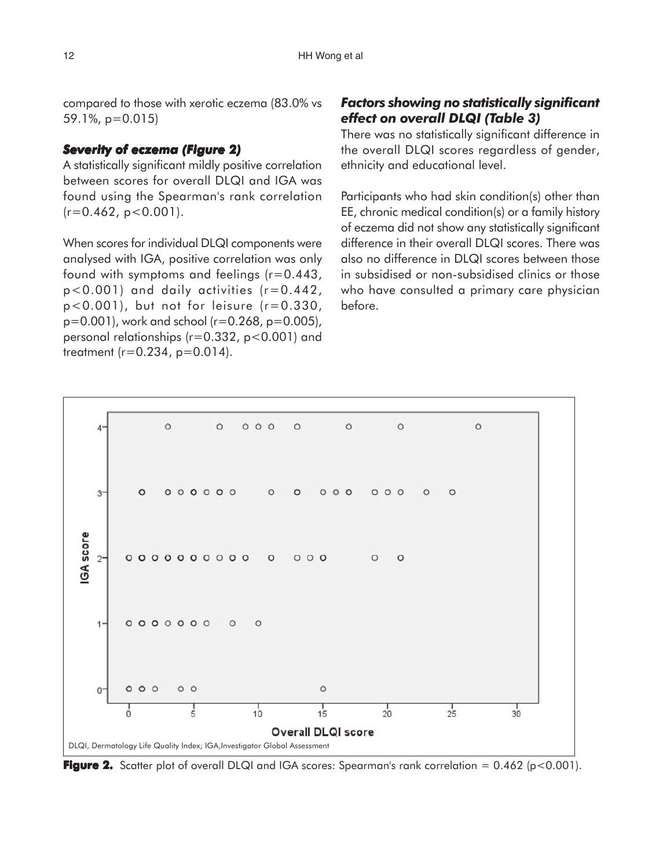compared to those with xerotic eczema (83.0% vs 59.1%, p=0.015)

## *Severity of eczema (Figure 2) igure 2)*

A statistically significant mildly positive correlation between scores for overall DLQI and IGA was found using the Spearman's rank correlation  $(r=0.462, p<0.001)$ .

When scores for individual DLQI components were analysed with IGA, positive correlation was only found with symptoms and feelings (r=0.443, p<0.001) and daily activities (r=0.442,  $p < 0.001$ ), but not for leisure ( $r = 0.330$ , p=0.001), work and school (r=0.268, p=0.005), personal relationships (r=0.332, p<0.001) and treatment (r=0.234, p=0.014).

# *Factors showing no statistically significant effect on overall DLQI (Table 3)*

There was no statistically significant difference in the overall DLQI scores regardless of gender, ethnicity and educational level.

Participants who had skin condition(s) other than EE, chronic medical condition(s) or a family history of eczema did not show any statistically significant difference in their overall DLQI scores. There was also no difference in DLQI scores between those in subsidised or non-subsidised clinics or those who have consulted a primary care physician before.



**Figure 2.** Scatter plot of overall DLQI and IGA scores: Spearman's rank correlation  $= 0.462$  (p<0.001).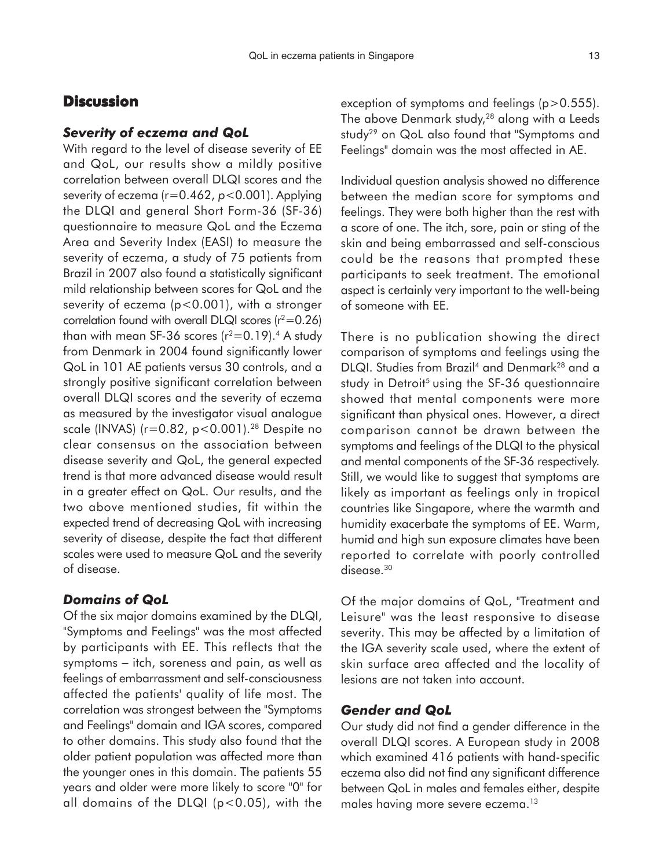# **Discussion**

#### *Severity of eczema and QoL*

With regard to the level of disease severity of EE and QoL, our results show a mildly positive correlation between overall DLQI scores and the severity of eczema (r=0.462, *p*<0.001). Applying the DLQI and general Short Form-36 (SF-36) questionnaire to measure QoL and the Eczema Area and Severity Index (EASI) to measure the severity of eczema, a study of 75 patients from Brazil in 2007 also found a statistically significant mild relationship between scores for QoL and the severity of eczema (p<0.001), with a stronger correlation found with overall DLQI scores ( $r^2$ =0.26) than with mean SF-36 scores  $(r^2=0.19)$ .<sup>4</sup> A study from Denmark in 2004 found significantly lower QoL in 101 AE patients versus 30 controls, and a strongly positive significant correlation between overall DLQI scores and the severity of eczema as measured by the investigator visual analogue scale (INVAS) ( $r=0.82$ ,  $p<0.001$ ).<sup>28</sup> Despite no clear consensus on the association between disease severity and QoL, the general expected trend is that more advanced disease would result in a greater effect on QoL. Our results, and the two above mentioned studies, fit within the expected trend of decreasing QoL with increasing severity of disease, despite the fact that different scales were used to measure QoL and the severity of disease.

#### *Domains of QoL*

Of the six major domains examined by the DLQI, "Symptoms and Feelings" was the most affected by participants with EE. This reflects that the symptoms – itch, soreness and pain, as well as feelings of embarrassment and self-consciousness affected the patients' quality of life most. The correlation was strongest between the "Symptoms and Feelings" domain and IGA scores, compared to other domains. This study also found that the older patient population was affected more than the younger ones in this domain. The patients 55 years and older were more likely to score "0" for all domains of the DLQI (p<0.05), with the

exception of symptoms and feelings (p>0.555). The above Denmark study,<sup>28</sup> along with a Leeds study<sup>29</sup> on QoL also found that "Symptoms and Feelings" domain was the most affected in AE.

Individual question analysis showed no difference between the median score for symptoms and feelings. They were both higher than the rest with a score of one. The itch, sore, pain or sting of the skin and being embarrassed and self-conscious could be the reasons that prompted these participants to seek treatment. The emotional aspect is certainly very important to the well-being of someone with EE.

There is no publication showing the direct comparison of symptoms and feelings using the DLQI. Studies from Brazil<sup>4</sup> and Denmark<sup>28</sup> and a study in Detroit<sup>5</sup> using the SF-36 questionnaire showed that mental components were more significant than physical ones. However, a direct comparison cannot be drawn between the symptoms and feelings of the DLQI to the physical and mental components of the SF-36 respectively. Still, we would like to suggest that symptoms are likely as important as feelings only in tropical countries like Singapore, where the warmth and humidity exacerbate the symptoms of EE. Warm, humid and high sun exposure climates have been reported to correlate with poorly controlled disease.<sup>30</sup>

Of the major domains of QoL, "Treatment and Leisure" was the least responsive to disease severity. This may be affected by a limitation of the IGA severity scale used, where the extent of skin surface area affected and the locality of lesions are not taken into account.

#### *Gender and QoL*

Our study did not find a gender difference in the overall DLQI scores. A European study in 2008 which examined 416 patients with hand-specific eczema also did not find any significant difference between QoL in males and females either, despite males having more severe eczema.<sup>13</sup>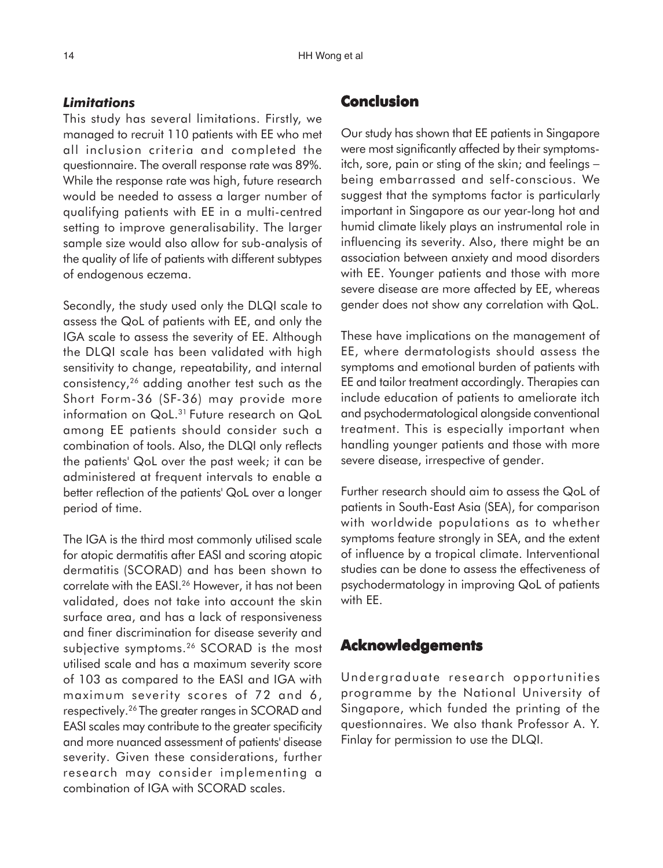#### *Limitations*

This study has several limitations. Firstly, we managed to recruit 110 patients with EE who met all inclusion criteria and completed the questionnaire. The overall response rate was 89%. While the response rate was high, future research would be needed to assess a larger number of qualifying patients with EE in a multi-centred setting to improve generalisability. The larger sample size would also allow for sub-analysis of the quality of life of patients with different subtypes of endogenous eczema.

Secondly, the study used only the DLQI scale to assess the QoL of patients with EE, and only the IGA scale to assess the severity of EE. Although the DLQI scale has been validated with high sensitivity to change, repeatability, and internal consistency,26 adding another test such as the Short Form-36 (SF-36) may provide more information on QoL.<sup>31</sup> Future research on QoL among EE patients should consider such a combination of tools. Also, the DLQI only reflects the patients' QoL over the past week; it can be administered at frequent intervals to enable a better reflection of the patients' QoL over a longer period of time.

The IGA is the third most commonly utilised scale for atopic dermatitis after EASI and scoring atopic dermatitis (SCORAD) and has been shown to correlate with the EASI.<sup>26</sup> However, it has not been validated, does not take into account the skin surface area, and has a lack of responsiveness and finer discrimination for disease severity and subjective symptoms.<sup>26</sup> SCORAD is the most utilised scale and has a maximum severity score of 103 as compared to the EASI and IGA with maximum severity scores of 72 and 6, respectively.26 The greater ranges in SCORAD and EASI scales may contribute to the greater specificity and more nuanced assessment of patients' disease severity. Given these considerations, further research may consider implementing a combination of IGA with SCORAD scales.

# **Conclusion**

Our study has shown that EE patients in Singapore were most significantly affected by their symptomsitch, sore, pain or sting of the skin; and feelings − being embarrassed and self-conscious. We suggest that the symptoms factor is particularly important in Singapore as our year-long hot and humid climate likely plays an instrumental role in influencing its severity. Also, there might be an association between anxiety and mood disorders with EE. Younger patients and those with more severe disease are more affected by EE, whereas gender does not show any correlation with QoL.

These have implications on the management of EE, where dermatologists should assess the symptoms and emotional burden of patients with EE and tailor treatment accordingly. Therapies can include education of patients to ameliorate itch and psychodermatological alongside conventional treatment. This is especially important when handling younger patients and those with more severe disease, irrespective of gender.

Further research should aim to assess the QoL of patients in South-East Asia (SEA), for comparison with worldwide populations as to whether symptoms feature strongly in SEA, and the extent of influence by a tropical climate. Interventional studies can be done to assess the effectiveness of psychodermatology in improving QoL of patients with EE.

# **Acknowledgements**

Undergraduate research opportunities programme by the National University of Singapore, which funded the printing of the questionnaires. We also thank Professor A. Y. Finlay for permission to use the DLQI.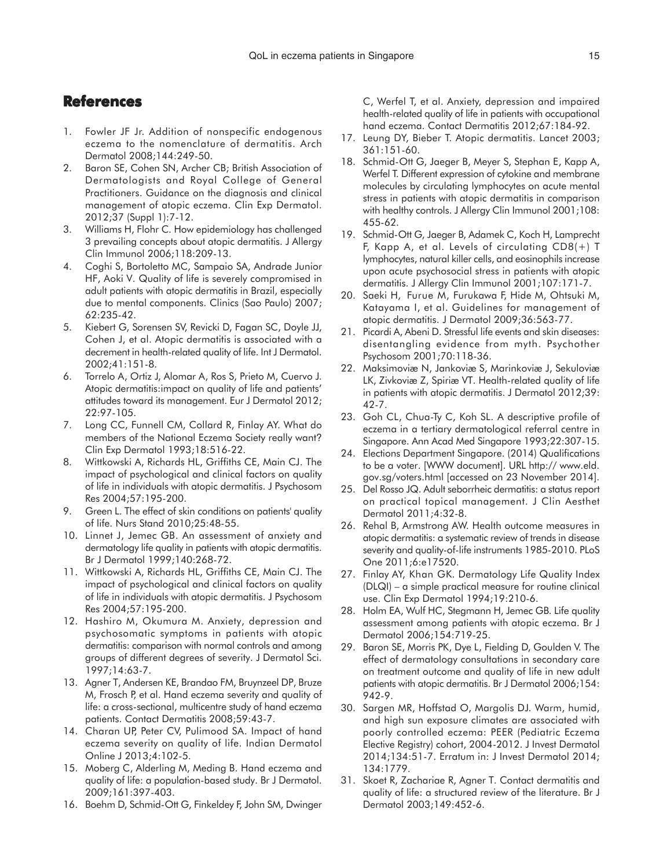# **References**

- 1. Fowler JF Jr. Addition of nonspecific endogenous eczema to the nomenclature of dermatitis. Arch Dermatol 2008;144:249-50.
- 2. Baron SE, Cohen SN, Archer CB; British Association of Dermatologists and Royal College of General Practitioners. Guidance on the diagnosis and clinical management of atopic eczema. Clin Exp Dermatol. 2012;37 (Suppl 1):7-12.
- 3. Williams H, Flohr C. How epidemiology has challenged 3 prevailing concepts about atopic dermatitis. J Allergy Clin Immunol 2006;118:209-13.
- 4. Coghi S, Bortoletto MC, Sampaio SA, Andrade Junior HF, Aoki V. Quality of life is severely compromised in adult patients with atopic dermatitis in Brazil, especially due to mental components. Clinics (Sao Paulo) 2007; 62:235-42.
- 5. Kiebert G, Sorensen SV, Revicki D, Fagan SC, Doyle JJ, Cohen J, et al. Atopic dermatitis is associated with a decrement in health-related quality of life. Int J Dermatol. 2002;41:151-8.
- 6. Torrelo A, Ortiz J, Alomar A, Ros S, Prieto M, Cuervo J. Atopic dermatitis:impact on quality of life and patients' attitudes toward its management. Eur J Dermatol 2012; 22:97-105.
- 7. Long CC, Funnell CM, Collard R, Finlay AY. What do members of the National Eczema Society really want? Clin Exp Dermatol 1993;18:516-22.
- 8. Wittkowski A, Richards HL, Griffiths CE, Main CJ. The impact of psychological and clinical factors on quality of life in individuals with atopic dermatitis. J Psychosom Res 2004;57:195-200.
- 9. Green L. The effect of skin conditions on patients' quality of life. Nurs Stand 2010;25:48-55.
- 10. Linnet J, Jemec GB. An assessment of anxiety and dermatology life quality in patients with atopic dermatitis. Br J Dermatol 1999;140:268-72.
- 11. Wittkowski A, Richards HL, Griffiths CE, Main CJ. The impact of psychological and clinical factors on quality of life in individuals with atopic dermatitis. J Psychosom Res 2004;57:195-200.
- 12. Hashiro M, Okumura M. Anxiety, depression and psychosomatic symptoms in patients with atopic dermatitis: comparison with normal controls and among groups of different degrees of severity. J Dermatol Sci. 1997;14:63-7.
- 13. Agner T, Andersen KE, Brandao FM, Bruynzeel DP, Bruze M, Frosch P, et al. Hand eczema severity and quality of life: a cross-sectional, multicentre study of hand eczema patients. Contact Dermatitis 2008;59:43-7.
- 14. Charan UP, Peter CV, Pulimood SA. Impact of hand eczema severity on quality of life. Indian Dermatol Online J 2013;4:102-5.
- 15. Moberg C, Alderling M, Meding B. Hand eczema and quality of life: a population-based study. Br J Dermatol. 2009;161:397-403.
- 16. Boehm D, Schmid-Ott G, Finkeldey F, John SM, Dwinger

C, Werfel T, et al. Anxiety, depression and impaired health-related quality of life in patients with occupational hand eczema. Contact Dermatitis 2012;67:184-92.

- 17. Leung DY, Bieber T. Atopic dermatitis. Lancet 2003; 361:151-60.
- 18. Schmid-Ott G, Jaeger B, Meyer S, Stephan E, Kapp A, Werfel T. Different expression of cytokine and membrane molecules by circulating lymphocytes on acute mental stress in patients with atopic dermatitis in comparison with healthy controls. J Allergy Clin Immunol 2001;108: 455-62.
- 19. Schmid-Ott G, Jaeger B, Adamek C, Koch H, Lamprecht F, Kapp A, et al. Levels of circulating CD8(+) T lymphocytes, natural killer cells, and eosinophils increase upon acute psychosocial stress in patients with atopic dermatitis. J Allergy Clin Immunol 2001;107:171-7.
- 20. Saeki H, Furue M, Furukawa F, Hide M, Ohtsuki M, Katayama I, et al. Guidelines for management of atopic dermatitis. J Dermatol 2009;36:563-77.
- 21. Picardi A, Abeni D. Stressful life events and skin diseases: disentangling evidence from myth. Psychother Psychosom 2001;70:118-36.
- 22. Maksimoviæ N, Jankoviæ S, Marinkoviæ J, Sekuloviæ LK, Zivkoviæ Z, Spiriæ VT. Health-related quality of life in patients with atopic dermatitis. J Dermatol 2012;39: 42-7.
- 23. Goh CL, Chua-Ty C, Koh SL. A descriptive profile of eczema in a tertiary dermatological referral centre in Singapore. Ann Acad Med Singapore 1993;22:307-15.
- 24. Elections Department Singapore. (2014) Qualifications to be a voter. [WWW document]. URL http:// www.eld. gov.sg/voters.html [accessed on 23 November 2014].
- 25. Del Rosso JQ. Adult seborrheic dermatitis: a status report on practical topical management. J Clin Aesthet Dermatol 2011;4:32-8.
- 26. Rehal B, Armstrong AW. Health outcome measures in atopic dermatitis: a systematic review of trends in disease severity and quality-of-life instruments 1985-2010. PLoS One 2011;6:e17520.
- 27. Finlay AY, Khan GK. Dermatology Life Quality Index (DLQI) – a simple practical measure for routine clinical use. Clin Exp Dermatol 1994;19:210-6.
- 28. Holm EA, Wulf HC, Stegmann H, Jemec GB. Life quality assessment among patients with atopic eczema. Br J Dermatol 2006;154:719-25.
- 29. Baron SE, Morris PK, Dye L, Fielding D, Goulden V. The effect of dermatology consultations in secondary care on treatment outcome and quality of life in new adult patients with atopic dermatitis. Br J Dermatol 2006;154: 942-9.
- 30. Sargen MR, Hoffstad O, Margolis DJ. Warm, humid, and high sun exposure climates are associated with poorly controlled eczema: PEER (Pediatric Eczema Elective Registry) cohort, 2004-2012. J Invest Dermatol 2014;134:51-7. Erratum in: J Invest Dermatol 2014; 134:1779.
- 31. Skoet R, Zachariae R, Agner T. Contact dermatitis and quality of life: a structured review of the literature. Br J Dermatol 2003;149:452-6.